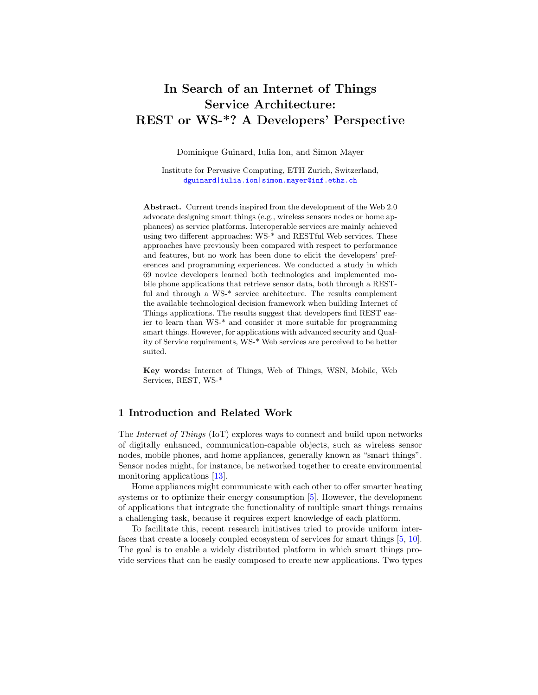# In Search of an Internet of Things Service Architecture: REST or WS-\*? A Developers' Perspective

Dominique Guinard, Iulia Ion, and Simon Mayer

Institute for Pervasive Computing, ETH Zurich, Switzerland, <dguinard|iulia.ion|simon.mayer@inf.ethz.ch>

Abstract. Current trends inspired from the development of the Web 2.0 advocate designing smart things (e.g., wireless sensors nodes or home appliances) as service platforms. Interoperable services are mainly achieved using two different approaches: WS-\* and RESTful Web services. These approaches have previously been compared with respect to performance and features, but no work has been done to elicit the developers' preferences and programming experiences. We conducted a study in which 69 novice developers learned both technologies and implemented mobile phone applications that retrieve sensor data, both through a RESTful and through a WS-\* service architecture. The results complement the available technological decision framework when building Internet of Things applications. The results suggest that developers find REST easier to learn than WS-\* and consider it more suitable for programming smart things. However, for applications with advanced security and Quality of Service requirements, WS-\* Web services are perceived to be better suited.

Key words: Internet of Things, Web of Things, WSN, Mobile, Web Services, REST, WS-\*

## 1 Introduction and Related Work

The Internet of Things (IoT) explores ways to connect and build upon networks of digitally enhanced, communication-capable objects, such as wireless sensor nodes, mobile phones, and home appliances, generally known as "smart things". Sensor nodes might, for instance, be networked together to create environmental monitoring applications [\[13\]](#page-11-0).

Home appliances might communicate with each other to offer smarter heating systems or to optimize their energy consumption [\[5\]](#page-11-1). However, the development of applications that integrate the functionality of multiple smart things remains a challenging task, because it requires expert knowledge of each platform.

To facilitate this, recent research initiatives tried to provide uniform interfaces that create a loosely coupled ecosystem of services for smart things [\[5,](#page-11-1) [10\]](#page-11-2). The goal is to enable a widely distributed platform in which smart things provide services that can be easily composed to create new applications. Two types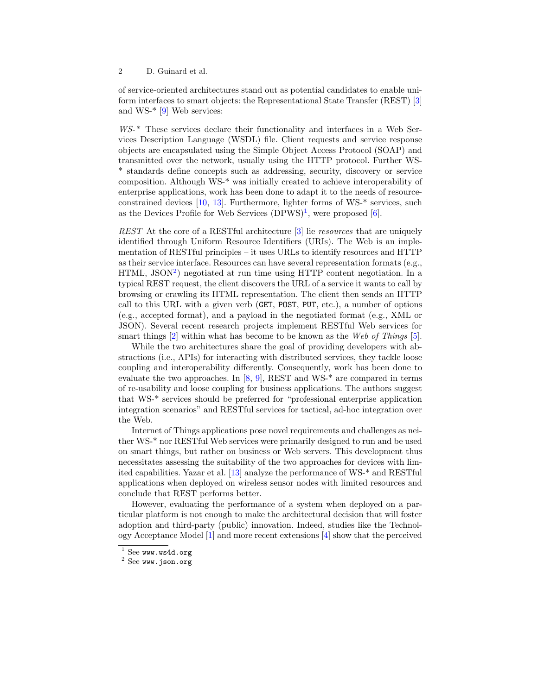of service-oriented architectures stand out as potential candidates to enable uniform interfaces to smart objects: the Representational State Transfer (REST) [\[3\]](#page-11-3) and WS-\* [\[9\]](#page-11-4) Web services:

WS-\* These services declare their functionality and interfaces in a Web Services Description Language (WSDL) file. Client requests and service response objects are encapsulated using the Simple Object Access Protocol (SOAP) and transmitted over the network, usually using the HTTP protocol. Further WS- \* standards define concepts such as addressing, security, discovery or service composition. Although WS-\* was initially created to achieve interoperability of enterprise applications, work has been done to adapt it to the needs of resourceconstrained devices [\[10,](#page-11-2) [13\]](#page-11-0). Furthermore, lighter forms of WS-\* services, such as the Devices Profile for Web Services  $(DPWS)^1$  $(DPWS)^1$ , were proposed [\[6\]](#page-11-5).

REST At the core of a RESTful architecture [\[3\]](#page-11-3) lie resources that are uniquely identified through Uniform Resource Identifiers (URIs). The Web is an implementation of RESTful principles – it uses URLs to identify resources and HTTP as their service interface. Resources can have several representation formats (e.g., HTML, JSON<sup>[2](#page-1-1)</sup>) negotiated at run time using HTTP content negotiation. In a typical REST request, the client discovers the URL of a service it wants to call by browsing or crawling its HTML representation. The client then sends an HTTP call to this URL with a given verb (GET, POST, PUT, etc.), a number of options (e.g., accepted format), and a payload in the negotiated format (e.g., XML or JSON). Several recent research projects implement RESTful Web services for smart things  $[2]$  within what has become to be known as the Web of Things  $[5]$ .

While the two architectures share the goal of providing developers with abstractions (i.e., APIs) for interacting with distributed services, they tackle loose coupling and interoperability differently. Consequently, work has been done to evaluate the two approaches. In  $[8, 9]$  $[8, 9]$  $[8, 9]$ , REST and WS-\* are compared in terms of re-usability and loose coupling for business applications. The authors suggest that WS-\* services should be preferred for "professional enterprise application integration scenarios" and RESTful services for tactical, ad-hoc integration over the Web.

Internet of Things applications pose novel requirements and challenges as neither WS-\* nor RESTful Web services were primarily designed to run and be used on smart things, but rather on business or Web servers. This development thus necessitates assessing the suitability of the two approaches for devices with limited capabilities. Yazar et al. [\[13\]](#page-11-0) analyze the performance of WS-\* and RESTful applications when deployed on wireless sensor nodes with limited resources and conclude that REST performs better.

However, evaluating the performance of a system when deployed on a particular platform is not enough to make the architectural decision that will foster adoption and third-party (public) innovation. Indeed, studies like the Technology Acceptance Model [\[1\]](#page-11-8) and more recent extensions [\[4\]](#page-11-9) show that the perceived

<span id="page-1-0"></span> $1$  See www.ws4d.org

<span id="page-1-1"></span> $^{2}$  See www.json.org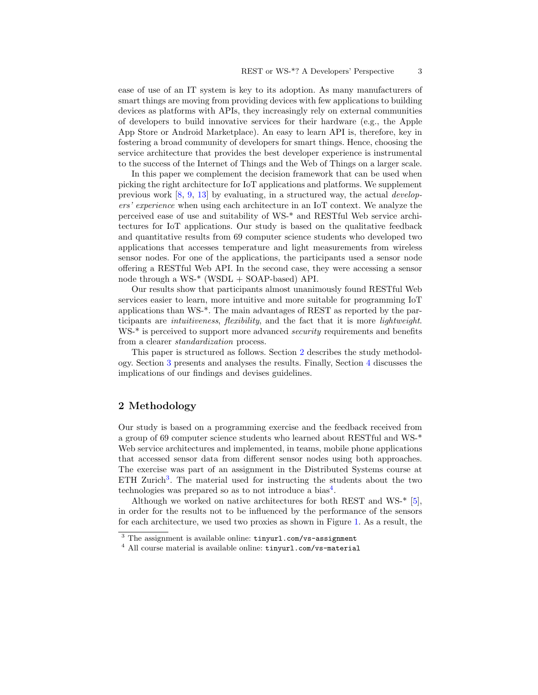ease of use of an IT system is key to its adoption. As many manufacturers of smart things are moving from providing devices with few applications to building devices as platforms with APIs, they increasingly rely on external communities of developers to build innovative services for their hardware (e.g., the Apple App Store or Android Marketplace). An easy to learn API is, therefore, key in fostering a broad community of developers for smart things. Hence, choosing the service architecture that provides the best developer experience is instrumental to the success of the Internet of Things and the Web of Things on a larger scale.

In this paper we complement the decision framework that can be used when picking the right architecture for IoT applications and platforms. We supplement previous work  $[8, 9, 13]$  $[8, 9, 13]$  $[8, 9, 13]$  $[8, 9, 13]$  $[8, 9, 13]$  by evaluating, in a structured way, the actual *develop*ers' experience when using each architecture in an IoT context. We analyze the perceived ease of use and suitability of WS-\* and RESTful Web service architectures for IoT applications. Our study is based on the qualitative feedback and quantitative results from 69 computer science students who developed two applications that accesses temperature and light measurements from wireless sensor nodes. For one of the applications, the participants used a sensor node offering a RESTful Web API. In the second case, they were accessing a sensor node through a WS-\* (WSDL + SOAP-based) API.

Our results show that participants almost unanimously found RESTful Web services easier to learn, more intuitive and more suitable for programming IoT applications than WS-\*. The main advantages of REST as reported by the participants are intuitiveness, flexibility, and the fact that it is more lightweight. WS-\* is perceived to support more advanced *security* requirements and benefits from a clearer standardization process.

This paper is structured as follows. Section [2](#page-2-0) describes the study methodology. Section [3](#page-4-0) presents and analyses the results. Finally, Section [4](#page-9-0) discusses the implications of our findings and devises guidelines.

# <span id="page-2-0"></span>2 Methodology

Our study is based on a programming exercise and the feedback received from a group of 69 computer science students who learned about RESTful and WS-\* Web service architectures and implemented, in teams, mobile phone applications that accessed sensor data from different sensor nodes using both approaches. The exercise was part of an assignment in the Distributed Systems course at ETH Zurich<sup>[3](#page-2-1)</sup>. The material used for instructing the students about the two technologies was prepared so as to not introduce a bias<sup>[4](#page-2-2)</sup>.

Although we worked on native architectures for both REST and WS-\* [\[5\]](#page-11-1), in order for the results not to be influenced by the performance of the sensors for each architecture, we used two proxies as shown in Figure [1.](#page-3-0) As a result, the

<span id="page-2-1"></span> $\overline{3}$  The assignment is available online: tinyurl.com/vs-assignment

<span id="page-2-2"></span><sup>&</sup>lt;sup>4</sup> All course material is available online: tinyurl.com/vs-material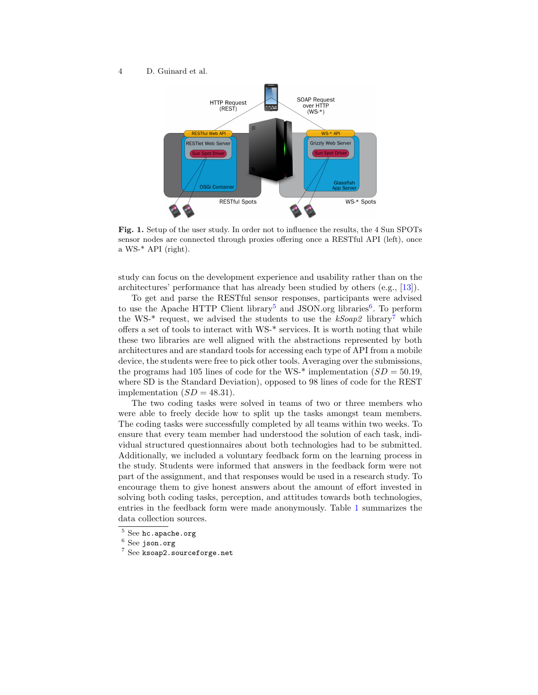

<span id="page-3-0"></span>Fig. 1. Setup of the user study. In order not to influence the results, the 4 Sun SPOTs sensor nodes are connected through proxies offering once a RESTful API (left), once a WS-\* API (right).

study can focus on the development experience and usability rather than on the architectures' performance that has already been studied by others (e.g., [\[13\]](#page-11-0)).

To get and parse the RESTful sensor responses, participants were advised to use the Apache HTTP Client library<sup>[5](#page-3-1)</sup> and JSON.org libraries<sup>[6](#page-3-2)</sup>. To perform the WS-\* request, we advised the students to use the  $kSoap2$  library<sup>[7](#page-3-3)</sup> which offers a set of tools to interact with WS-\* services. It is worth noting that while these two libraries are well aligned with the abstractions represented by both architectures and are standard tools for accessing each type of API from a mobile device, the students were free to pick other tools. Averaging over the submissions, the programs had 105 lines of code for the WS-\* implementation  $SD = 50.19$ , where SD is the Standard Deviation), opposed to 98 lines of code for the REST implementation  $SD = 48.31$ .

The two coding tasks were solved in teams of two or three members who were able to freely decide how to split up the tasks amongst team members. The coding tasks were successfully completed by all teams within two weeks. To ensure that every team member had understood the solution of each task, individual structured questionnaires about both technologies had to be submitted. Additionally, we included a voluntary feedback form on the learning process in the study. Students were informed that answers in the feedback form were not part of the assignment, and that responses would be used in a research study. To encourage them to give honest answers about the amount of effort invested in solving both coding tasks, perception, and attitudes towards both technologies, entries in the feedback form were made anonymously. Table [1](#page-4-1) summarizes the data collection sources.

<span id="page-3-1"></span> $\overline{\phantom{a}}^5$  See hc.apache.org

<span id="page-3-2"></span> $^6$  See json.org

<span id="page-3-3"></span><sup>7</sup> See ksoap2.sourceforge.net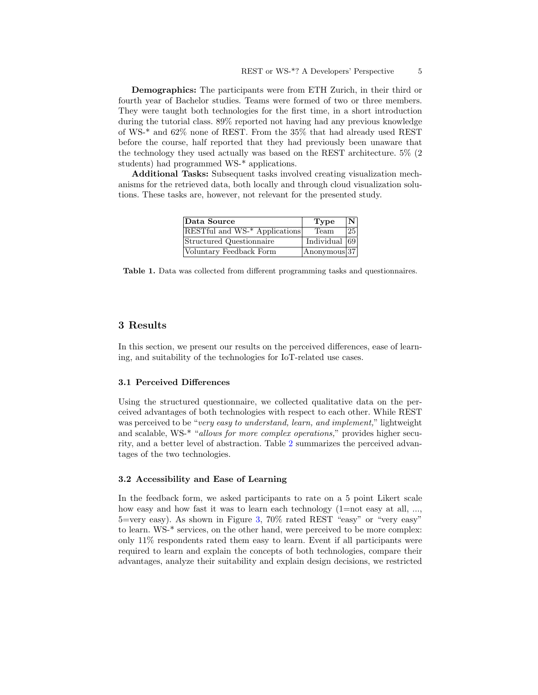Demographics: The participants were from ETH Zurich, in their third or fourth year of Bachelor studies. Teams were formed of two or three members. They were taught both technologies for the first time, in a short introduction during the tutorial class. 89% reported not having had any previous knowledge of WS-\* and 62% none of REST. From the 35% that had already used REST before the course, half reported that they had previously been unaware that the technology they used actually was based on the REST architecture. 5% (2 students) had programmed WS-\* applications.

Additional Tasks: Subsequent tasks involved creating visualization mechanisms for the retrieved data, both locally and through cloud visualization solutions. These tasks are, however, not relevant for the presented study.

| Data Source                   | Type          | $\mathbf{N}$ |
|-------------------------------|---------------|--------------|
| RESTful and WS-* Applications | Team          | 25           |
| Structured Questionnaire      | Individual 69 |              |
| Voluntary Feedback Form       | Anonymous 37  |              |

<span id="page-4-1"></span>Table 1. Data was collected from different programming tasks and questionnaires.

## <span id="page-4-0"></span>3 Results

In this section, we present our results on the perceived differences, ease of learning, and suitability of the technologies for IoT-related use cases.

#### 3.1 Perceived Differences

Using the structured questionnaire, we collected qualitative data on the perceived advantages of both technologies with respect to each other. While REST was perceived to be "very easy to understand, learn, and implement," lightweight and scalable, WS-\* "allows for more complex operations," provides higher security, and a better level of abstraction. Table [2](#page-5-0) summarizes the perceived advantages of the two technologies.

## 3.2 Accessibility and Ease of Learning

In the feedback form, we asked participants to rate on a 5 point Likert scale how easy and how fast it was to learn each technology  $(1=$ not easy at all, ..., 5=very easy). As shown in Figure [3,](#page-6-0) 70% rated REST "easy" or "very easy" to learn. WS-\* services, on the other hand, were perceived to be more complex: only  $11\%$  respondents rated them easy to learn. Event if all participants were required to learn and explain the concepts of both technologies, compare their advantages, analyze their suitability and explain design decisions, we restricted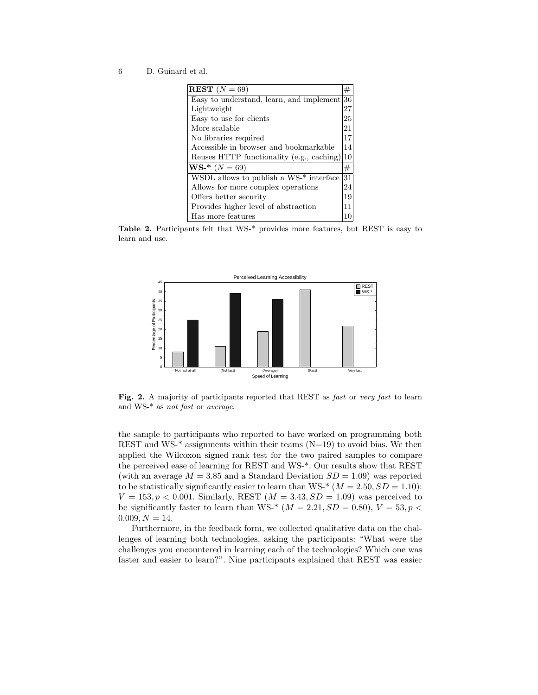| <b>REST</b> $(N = 69)$                    |      |
|-------------------------------------------|------|
| Easy to understand, learn, and implement  | 36   |
| Lightweight                               | 27   |
| Easy to use for clients                   | 25   |
| More scalable                             | 21   |
| No libraries required                     | 17   |
| Accessible in browser and bookmarkable    | 14   |
| Reuses HTTP functionality (e.g., caching) | 10   |
| <b>WS-*</b> $(N = 69)$                    | $\#$ |
| WSDL allows to publish a WS-* interface   | 31   |
| Allows for more complex operations        | 24   |
| Offers better security                    | 19   |
| Provides higher level of abstraction      | 11   |
| Has more features                         |      |

<span id="page-5-0"></span>Table 2. Participants felt that WS-\* provides more features, but REST is easy to learn and use.



Fig. 2. A majority of participants reported that REST as fast or very fast to learn and WS-\* as not fast or average.

the sample to participants who reported to have worked on programming both REST and WS- $*$  assignments within their teams (N=19) to avoid bias. We then applied the Wilcoxon signed rank test for the two paired samples to compare the perceived ease of learning for REST and WS-\*. Our results show that REST (with an average  $M = 3.85$  and a Standard Deviation  $SD = 1.09$ ) was reported to be statistically significantly easier to learn than WS-\*  $(M = 2.50, SD = 1.10)$ :  $V = 153, p < 0.001$ . Similarly, REST  $(M = 3.43, SD = 1.09)$  was perceived to be significantly faster to learn than WS-\*  $(M = 2.21, SD = 0.80), V = 53, p <$  $0.009, N = 14.$ 

Furthermore, in the feedback form, we collected qualitative data on the challenges of learning both technologies, asking the participants: "What were the challenges you encountered in learning each of the technologies? Which one was faster and easier to learn?". Nine participants explained that REST was easier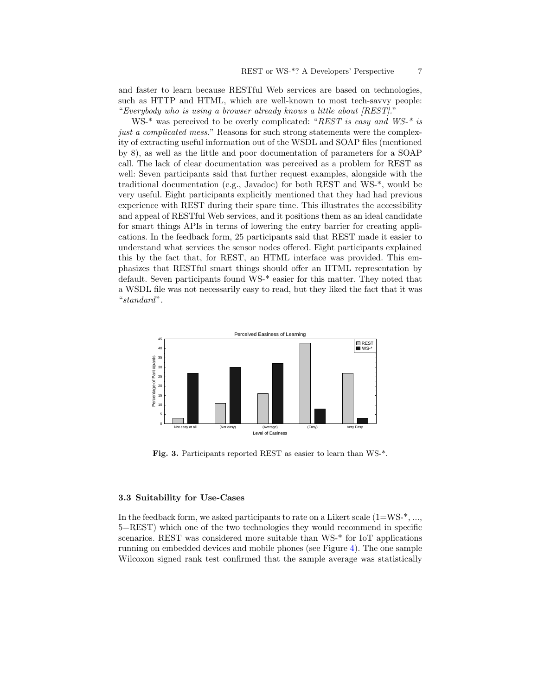and faster to learn because RESTful Web services are based on technologies, such as HTTP and HTML, which are well-known to most tech-savvy people: "Everybody who is using a browser already knows a little about [REST]."

WS-\* was perceived to be overly complicated: "REST is easy and WS-\* is just a complicated mess." Reasons for such strong statements were the complexity of extracting useful information out of the WSDL and SOAP files (mentioned by 8), as well as the little and poor documentation of parameters for a SOAP call. The lack of clear documentation was perceived as a problem for REST as well: Seven participants said that further request examples, alongside with the traditional documentation (e.g., Javadoc) for both REST and WS-\*, would be very useful. Eight participants explicitly mentioned that they had had previous experience with REST during their spare time. This illustrates the accessibility and appeal of RESTful Web services, and it positions them as an ideal candidate for smart things APIs in terms of lowering the entry barrier for creating applications. In the feedback form, 25 participants said that REST made it easier to understand what services the sensor nodes offered. Eight participants explained this by the fact that, for REST, an HTML interface was provided. This emphasizes that RESTful smart things should offer an HTML representation by default. Seven participants found WS-\* easier for this matter. They noted that a WSDL file was not necessarily easy to read, but they liked the fact that it was "standard".



<span id="page-6-0"></span>Fig. 3. Participants reported REST as easier to learn than WS-\*.

#### 3.3 Suitability for Use-Cases

In the feedback form, we asked participants to rate on a Likert scale  $(1=WS^*, \ldots,$ 5=REST) which one of the two technologies they would recommend in specific scenarios. REST was considered more suitable than WS-\* for IoT applications running on embedded devices and mobile phones (see Figure [4\)](#page-9-1). The one sample Wilcoxon signed rank test confirmed that the sample average was statistically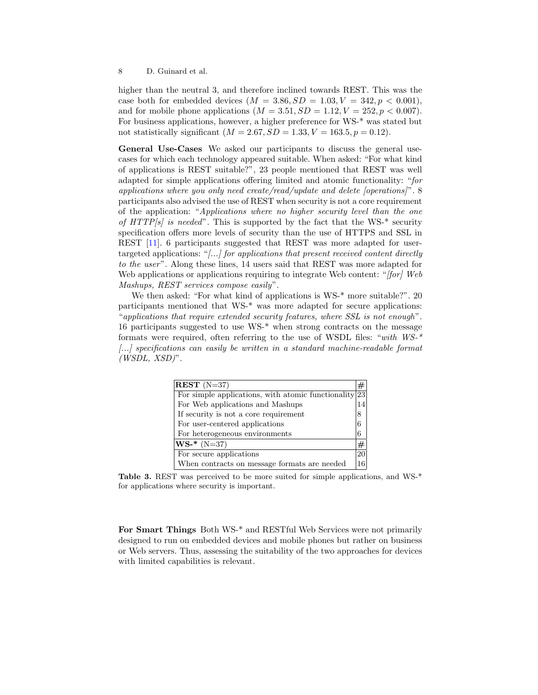higher than the neutral 3, and therefore inclined towards REST. This was the case both for embedded devices  $(M = 3.86, SD = 1.03, V = 342, p < 0.001)$ , and for mobile phone applications  $(M = 3.51, SD = 1.12, V = 252, p < 0.007)$ . For business applications, however, a higher preference for WS-\* was stated but not statistically significant  $(M = 2.67, SD = 1.33, V = 163.5, p = 0.12)$ .

General Use-Cases We asked our participants to discuss the general usecases for which each technology appeared suitable. When asked: "For what kind of applications is REST suitable?", 23 people mentioned that REST was well adapted for simple applications offering limited and atomic functionality: "for applications where you only need create/read/update and delete [operations]". 8 participants also advised the use of REST when security is not a core requirement of the application: "Applications where no higher security level than the one of  $HTTP[s]$  is needed". This is supported by the fact that the WS-\* security specification offers more levels of security than the use of HTTPS and SSL in REST [\[11\]](#page-11-10). 6 participants suggested that REST was more adapted for usertargeted applications: " $\ldots$  for applications that present received content directly to the user". Along these lines, 14 users said that REST was more adapted for Web applications or applications requiring to integrate Web content: "[for] Web Mashups, REST services compose easily".

We then asked: "For what kind of applications is WS-\* more suitable?". 20 participants mentioned that WS-\* was more adapted for secure applications: "applications that require extended security features, where SSL is not enough". 16 participants suggested to use WS-\* when strong contracts on the message formats were required, often referring to the use of WSDL files: "with  $WS-*$ [...] specifications can easily be written in a standard machine-readable format  $(WSDL, XSD)$ ".

| $\text{REST}$ (N=37)                                      | #              |
|-----------------------------------------------------------|----------------|
| For simple applications, with atomic functionality $ 23 $ |                |
| For Web applications and Mashups                          | 14             |
| If security is not a core requirement                     | 8              |
| For user-centered applications                            | $\overline{6}$ |
| For heterogeneous environments                            | 6              |
| $WS-* (N=37)$                                             | $^{\#}$        |
| For secure applications                                   | 20             |
| When contracts on message formats are needed              | 16             |

Table 3. REST was perceived to be more suited for simple applications, and WS-\* for applications where security is important.

For Smart Things Both WS-\* and RESTful Web Services were not primarily designed to run on embedded devices and mobile phones but rather on business or Web servers. Thus, assessing the suitability of the two approaches for devices with limited capabilities is relevant.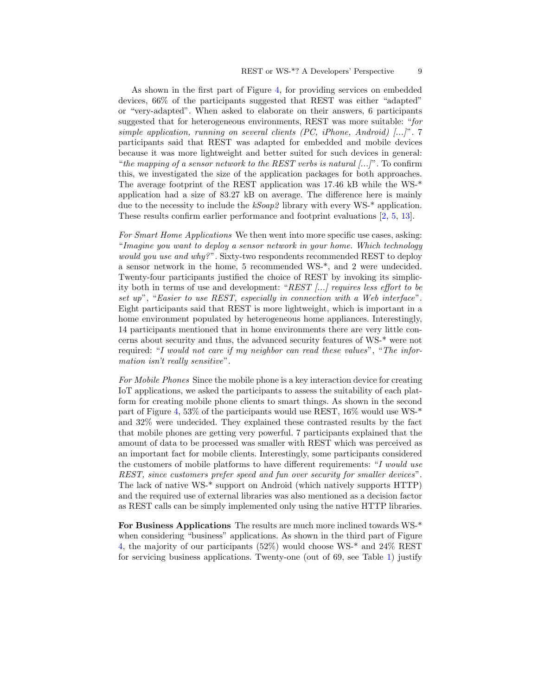As shown in the first part of Figure [4,](#page-9-1) for providing services on embedded devices, 66% of the participants suggested that REST was either "adapted" or "very-adapted". When asked to elaborate on their answers, 6 participants suggested that for heterogeneous environments, REST was more suitable: "for simple application, running on several clients  $(PC, iPhone, Android)$ ...]". 7 participants said that REST was adapted for embedded and mobile devices because it was more lightweight and better suited for such devices in general: "the mapping of a sensor network to the REST verbs is natural  $[\dots]$ ". To confirm this, we investigated the size of the application packages for both approaches. The average footprint of the REST application was 17.46 kB while the WS-\* application had a size of 83.27 kB on average. The difference here is mainly due to the necessity to include the kSoap2 library with every WS-\* application. These results confirm earlier performance and footprint evaluations [\[2,](#page-11-6) [5,](#page-11-1) [13\]](#page-11-0).

For Smart Home Applications We then went into more specific use cases, asking: "Imagine you want to deploy a sensor network in your home. Which technology would you use and why?". Sixty-two respondents recommended REST to deploy a sensor network in the home, 5 recommended WS-\*, and 2 were undecided. Twenty-four participants justified the choice of REST by invoking its simplicity both in terms of use and development: "REST [...] requires less effort to be set up", "Easier to use REST, especially in connection with a Web interface". Eight participants said that REST is more lightweight, which is important in a home environment populated by heterogeneous home appliances. Interestingly, 14 participants mentioned that in home environments there are very little concerns about security and thus, the advanced security features of WS-\* were not required: "I would not care if my neighbor can read these values", "The information isn't really sensitive".

For Mobile Phones Since the mobile phone is a key interaction device for creating IoT applications, we asked the participants to assess the suitability of each platform for creating mobile phone clients to smart things. As shown in the second part of Figure [4,](#page-9-1) 53% of the participants would use REST, 16% would use WS-\* and 32% were undecided. They explained these contrasted results by the fact that mobile phones are getting very powerful. 7 participants explained that the amount of data to be processed was smaller with REST which was perceived as an important fact for mobile clients. Interestingly, some participants considered the customers of mobile platforms to have different requirements: "I would use REST, since customers prefer speed and fun over security for smaller devices". The lack of native WS-\* support on Android (which natively supports HTTP) and the required use of external libraries was also mentioned as a decision factor as REST calls can be simply implemented only using the native HTTP libraries.

For Business Applications The results are much more inclined towards WS-\* when considering "business" applications. As shown in the third part of Figure [4,](#page-9-1) the majority of our participants (52%) would choose WS-\* and 24% REST for servicing business applications. Twenty-one (out of 69, see Table [1\)](#page-4-1) justify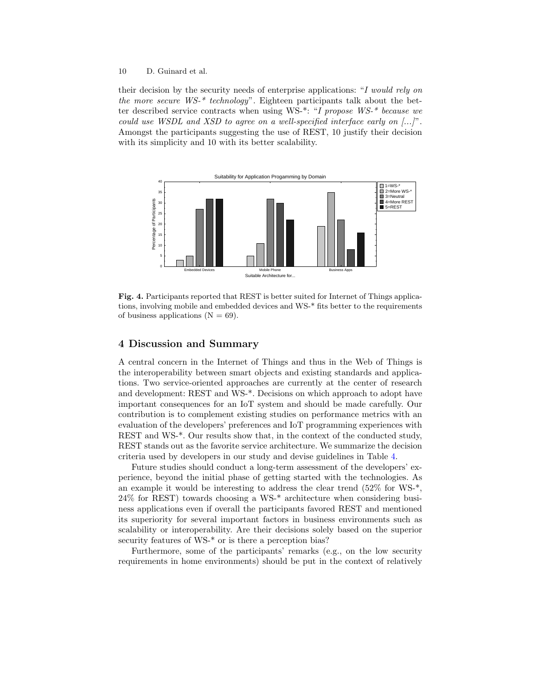their decision by the security needs of enterprise applications: "I would rely on the more secure  $WS^{-*}$  technology". Eighteen participants talk about the better described service contracts when using WS-\*: "I propose WS-\* because we could use WSDL and XSD to agree on a well-specified interface early on [...]". Amongst the participants suggesting the use of REST, 10 justify their decision with its simplicity and 10 with its better scalability.



<span id="page-9-1"></span>Fig. 4. Participants reported that REST is better suited for Internet of Things applications, involving mobile and embedded devices and WS-\* fits better to the requirements of business applications  $(N = 69)$ .

## <span id="page-9-0"></span>4 Discussion and Summary

A central concern in the Internet of Things and thus in the Web of Things is the interoperability between smart objects and existing standards and applications. Two service-oriented approaches are currently at the center of research and development: REST and WS-\*. Decisions on which approach to adopt have important consequences for an IoT system and should be made carefully. Our contribution is to complement existing studies on performance metrics with an evaluation of the developers' preferences and IoT programming experiences with REST and WS-\*. Our results show that, in the context of the conducted study, REST stands out as the favorite service architecture. We summarize the decision criteria used by developers in our study and devise guidelines in Table [4.](#page-10-0)

Future studies should conduct a long-term assessment of the developers' experience, beyond the initial phase of getting started with the technologies. As an example it would be interesting to address the clear trend  $(52\%$  for WS- $*,$ 24% for REST) towards choosing a WS-\* architecture when considering business applications even if overall the participants favored REST and mentioned its superiority for several important factors in business environments such as scalability or interoperability. Are their decisions solely based on the superior security features of WS- $*$  or is there a perception bias?

Furthermore, some of the participants' remarks (e.g., on the low security requirements in home environments) should be put in the context of relatively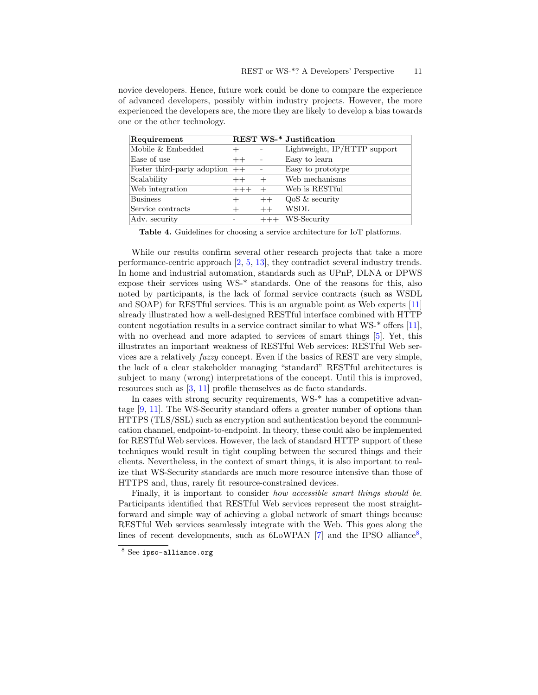novice developers. Hence, future work could be done to compare the experience of advanced developers, possibly within industry projects. However, the more experienced the developers are, the more they are likely to develop a bias towards one or the other technology.

| Requirement                      |         |         | <b>REST WS-* Justification</b> |
|----------------------------------|---------|---------|--------------------------------|
| Mobile & Embedded                |         |         | Lightweight, IP/HTTP support   |
| Ease of use                      | $^{++}$ |         | Easy to learn                  |
| Foster third-party adoption $++$ |         |         | Easy to prototype              |
| Scalability                      | $^{++}$ |         | Web mechanisms                 |
| Web integration                  | $+++$   |         | Web is RESTful                 |
| <b>Business</b>                  | $^+$    | $++$    | $QoS \&$ security              |
| Service contracts                | ┿       | $^{++}$ | <b>WSDL</b>                    |
| Adv. security                    |         | $+++$   | WS-Security                    |

<span id="page-10-0"></span>Table 4. Guidelines for choosing a service architecture for IoT platforms.

While our results confirm several other research projects that take a more performance-centric approach [\[2,](#page-11-6) [5,](#page-11-1) [13\]](#page-11-0), they contradict several industry trends. In home and industrial automation, standards such as UPnP, DLNA or DPWS expose their services using WS-\* standards. One of the reasons for this, also noted by participants, is the lack of formal service contracts (such as WSDL and SOAP) for RESTful services. This is an arguable point as Web experts [\[11\]](#page-11-10) already illustrated how a well-designed RESTful interface combined with HTTP content negotiation results in a service contract similar to what WS-\* offers [\[11\]](#page-11-10), with no overhead and more adapted to services of smart things [\[5\]](#page-11-1). Yet, this illustrates an important weakness of RESTful Web services: RESTful Web services are a relatively fuzzy concept. Even if the basics of REST are very simple, the lack of a clear stakeholder managing "standard" RESTful architectures is subject to many (wrong) interpretations of the concept. Until this is improved, resources such as [\[3,](#page-11-3) [11\]](#page-11-10) profile themselves as de facto standards.

In cases with strong security requirements, WS-\* has a competitive advantage [\[9,](#page-11-4) [11\]](#page-11-10). The WS-Security standard offers a greater number of options than HTTPS (TLS/SSL) such as encryption and authentication beyond the communication channel, endpoint-to-endpoint. In theory, these could also be implemented for RESTful Web services. However, the lack of standard HTTP support of these techniques would result in tight coupling between the secured things and their clients. Nevertheless, in the context of smart things, it is also important to realize that WS-Security standards are much more resource intensive than those of HTTPS and, thus, rarely fit resource-constrained devices.

Finally, it is important to consider how accessible smart things should be. Participants identified that RESTful Web services represent the most straightforward and simple way of achieving a global network of smart things because RESTful Web services seamlessly integrate with the Web. This goes along the lines of recent developments, such as  $6$ LoWPAN [\[7\]](#page-11-11) and the IPSO alliance<sup>[8](#page-10-1)</sup>,

<span id="page-10-1"></span><sup>8</sup> See ipso-alliance.org